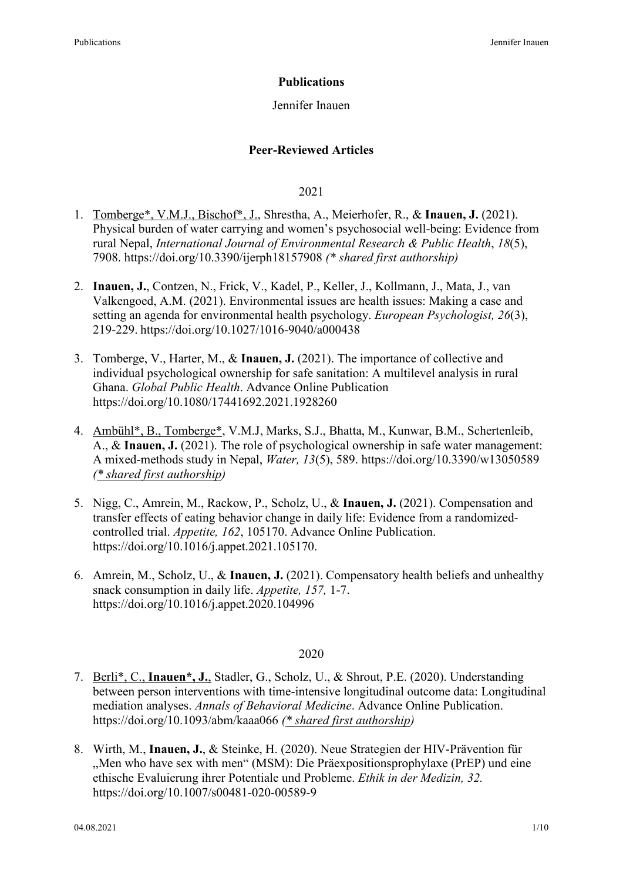# **Publications**

# Jennifer Inauen

# **Peer-Reviewed Articles**

2021

- 1. Tomberge\*, V.M.J., Bischof\*, J., Shrestha, A., Meierhofer, R., & **Inauen, J.** (2021). Physical burden of water carrying and women's psychosocial well-being: Evidence from rural Nepal, *International Journal of Environmental Research & Public Health*, *18*(5), 7908. https://doi.org/10.3390/ijerph18157908 *(\* shared first authorship)*
- 2. **Inauen, J.**, Contzen, N., Frick, V., Kadel, P., Keller, J., Kollmann, J., Mata, J., van Valkengoed, A.M. (2021). Environmental issues are health issues: Making a case and setting an agenda for environmental health psychology. *European Psychologist, 26*(3), 219-229. https://doi.org/10.1027/1016-9040/a000438
- 3. Tomberge, V., Harter, M., & **Inauen, J.** (2021). The importance of collective and individual psychological ownership for safe sanitation: A multilevel analysis in rural Ghana. *Global Public Health*. Advance Online Publication https://doi.org/10.1080/17441692.2021.1928260
- 4. Ambühl\*, B., Tomberge\*, V.M.J, Marks, S.J., Bhatta, M., Kunwar, B.M., Schertenleib, A., & **Inauen, J.** (2021). The role of psychological ownership in safe water management: A mixed-methods study in Nepal, *Water, 13*(5), 589. https://doi.org/10.3390/w13050589 *(\* shared first authorship)*
- 5. Nigg, C., Amrein, M., Rackow, P., Scholz, U., & **Inauen, J.** (2021). Compensation and transfer effects of eating behavior change in daily life: Evidence from a randomizedcontrolled trial. *Appetite, 162*, 105170. Advance Online Publication. https://doi.org/10.1016/j.appet.2021.105170.
- 6. Amrein, M., Scholz, U., & **Inauen, J.** (2021). Compensatory health beliefs and unhealthy snack consumption in daily life. *Appetite, 157,* 1-7. https://doi.org/10.1016/j.appet.2020.104996

## 2020

- 7. Berli\*, C., **Inauen\*, J.**, Stadler, G., Scholz, U., & Shrout, P.E. (2020). Understanding between person interventions with time-intensive longitudinal outcome data: Longitudinal mediation analyses. *Annals of Behavioral Medicine*. Advance Online Publication. https://doi.org/10.1093/abm/kaaa066 *(\* shared first authorship)*
- 8. Wirth, M., **Inauen, J.**, & Steinke, H. (2020). Neue Strategien der HIV-Prävention für "Men who have sex with men" (MSM): Die Präexpositionsprophylaxe (PrEP) und eine ethische Evaluierung ihrer Potentiale und Probleme. *Ethik in der Medizin, 32.* https://doi.org/10.1007/s00481-020-00589-9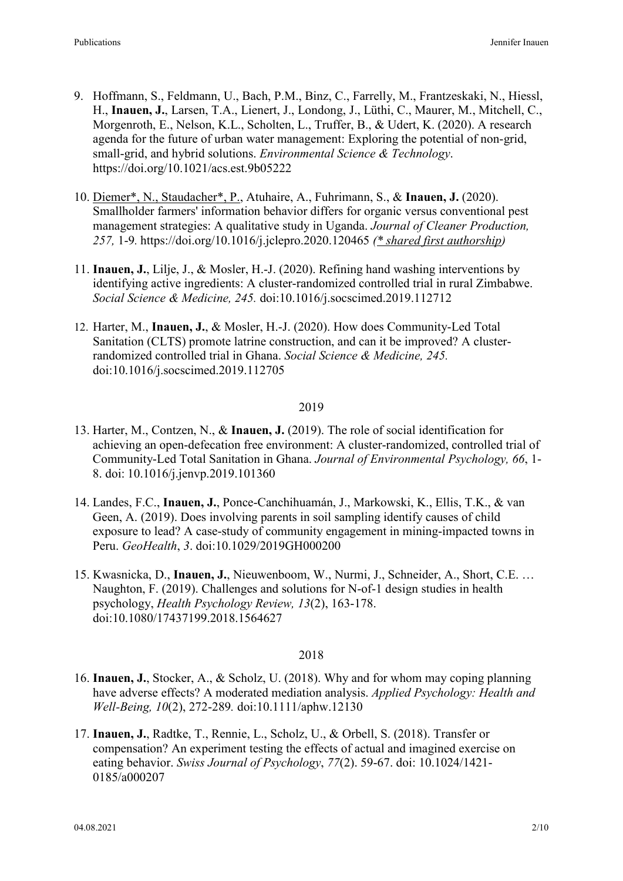- 9. Hoffmann, S., Feldmann, U., Bach, P.M., Binz, C., Farrelly, M., Frantzeskaki, N., Hiessl, H., **Inauen, J.**, Larsen, T.A., Lienert, J., Londong, J., Lüthi, C., Maurer, M., Mitchell, C., Morgenroth, E., Nelson, K.L., Scholten, L., Truffer, B., & Udert, K. (2020). A research agenda for the future of urban water management: Exploring the potential of non-grid, small-grid, and hybrid solutions. *Environmental Science & Technology*. https://doi.org/10.1021/acs.est.9b05222
- 10. Diemer\*, N., Staudacher\*, P., Atuhaire, A., Fuhrimann, S., & **Inauen, J.** (2020). Smallholder farmers' information behavior differs for organic versus conventional pest management strategies: A qualitative study in Uganda. *Journal of Cleaner Production, 257,* 1-9*.* https://doi.org/10.1016/j.jclepro.2020.120465 *(\* shared first authorship)*
- 11. **Inauen, J.**, Lilje, J., & Mosler, H.-J. (2020). Refining hand washing interventions by identifying active ingredients: A cluster-randomized controlled trial in rural Zimbabwe. *Social Science & Medicine, 245.* doi:10.1016/j.socscimed.2019.112712
- 12. Harter, M., **Inauen, J.**, & Mosler, H.-J. (2020). How does Community-Led Total Sanitation (CLTS) promote latrine construction, and can it be improved? A clusterrandomized controlled trial in Ghana. *Social Science & Medicine, 245.* doi:10.1016/j.socscimed.2019.112705

#### 2019

- 13. Harter, M., Contzen, N., & **Inauen, J.** (2019). The role of social identification for achieving an open-defecation free environment: A cluster-randomized, controlled trial of Community-Led Total Sanitation in Ghana. *Journal of Environmental Psychology, 66*, 1- 8. doi: 10.1016/j.jenvp.2019.101360
- 14. Landes, F.C., **Inauen, J.**, Ponce-Canchihuamán, J., Markowski, K., Ellis, T.K., & van Geen, A. (2019). Does involving parents in soil sampling identify causes of child exposure to lead? A case-study of community engagement in mining-impacted towns in Peru. *GeoHealth*, *3*. doi:10.1029/2019GH000200
- 15. Kwasnicka, D., **Inauen, J.**, Nieuwenboom, W., Nurmi, J., Schneider, A., Short, C.E. … Naughton, F. (2019). Challenges and solutions for N-of-1 design studies in health psychology, *Health Psychology Review, 13*(2), 163-178. doi:10.1080/17437199.2018.1564627

#### 2018

- 16. **Inauen, J.**, Stocker, A., & Scholz, U. (2018). Why and for whom may coping planning have adverse effects? A moderated mediation analysis. *Applied Psychology: Health and Well-Being, 10*(2), 272-289*.* doi:10.1111/aphw.12130
- 17. **Inauen, J.**, Radtke, T., Rennie, L., Scholz, U., & Orbell, S. (2018). Transfer or compensation? An experiment testing the effects of actual and imagined exercise on eating behavior. *Swiss Journal of Psychology*, *77*(2). 59-67. doi: 10.1024/1421- 0185/a000207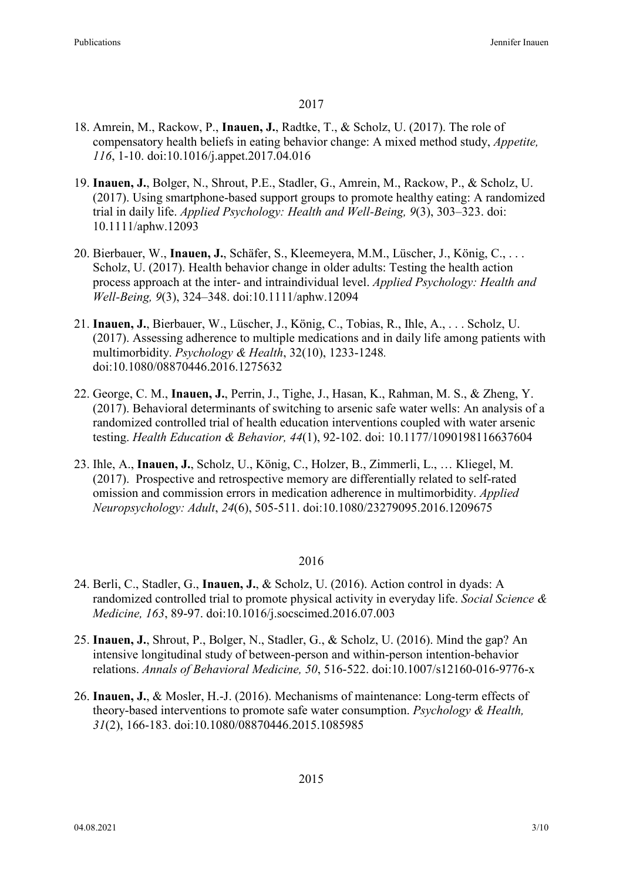### 2017

- 18. Amrein, M., Rackow, P., **Inauen, J.**, Radtke, T., & Scholz, U. (2017). The role of compensatory health beliefs in eating behavior change: A mixed method study, *Appetite, 116*, 1-10. doi:10.1016/j.appet.2017.04.016
- 19. **Inauen, J.**, Bolger, N., Shrout, P.E., Stadler, G., Amrein, M., Rackow, P., & Scholz, U. (2017). Using smartphone-based support groups to promote healthy eating: A randomized trial in daily life. *Applied Psychology: Health and Well-Being, 9*(3), 303–323. doi: 10.1111/aphw.12093
- 20. Bierbauer, W., **Inauen, J.**, Schäfer, S., Kleemeyera, M.M., Lüscher, J., König, C., . . . Scholz, U. (2017). Health behavior change in older adults: Testing the health action process approach at the inter- and intraindividual level. *Applied Psychology: Health and Well-Being, 9*(3), 324–348. doi:10.1111/aphw.12094
- 21. **Inauen, J.**, Bierbauer, W., Lüscher, J., König, C., Tobias, R., Ihle, A., . . . Scholz, U. (2017). Assessing adherence to multiple medications and in daily life among patients with multimorbidity. *Psychology & Health*, 32(10), 1233-1248*.*  doi:10.1080/08870446.2016.1275632
- 22. George, C. M., **Inauen, J.**, Perrin, J., Tighe, J., Hasan, K., Rahman, M. S., & Zheng, Y. (2017). Behavioral determinants of switching to arsenic safe water wells: An analysis of a randomized controlled trial of health education interventions coupled with water arsenic testing. *Health Education & Behavior, 44*(1), 92-102. doi: 10.1177/1090198116637604
- 23. Ihle, A., **Inauen, J.**, Scholz, U., König, C., Holzer, B., Zimmerli, L., … Kliegel, M. (2017). Prospective and retrospective memory are differentially related to self-rated omission and commission errors in medication adherence in multimorbidity. *Applied Neuropsychology: Adult*, *24*(6), 505-511. doi:10.1080/23279095.2016.1209675

#### 2016

- 24. Berli, C., Stadler, G., **Inauen, J.**, & Scholz, U. (2016). Action control in dyads: A randomized controlled trial to promote physical activity in everyday life. *Social Science & Medicine, 163*, 89-97. doi:10.1016/j.socscimed.2016.07.003
- 25. **Inauen, J.**, Shrout, P., Bolger, N., Stadler, G., & Scholz, U. (2016). Mind the gap? An intensive longitudinal study of between-person and within-person intention-behavior relations. *Annals of Behavioral Medicine, 50*, 516-522. doi:10.1007/s12160-016-9776-x
- 26. **Inauen, J.**, & Mosler, H.-J. (2016). Mechanisms of maintenance: Long-term effects of theory-based interventions to promote safe water consumption. *Psychology & Health, 31*(2), 166-183. doi:10.1080/08870446.2015.1085985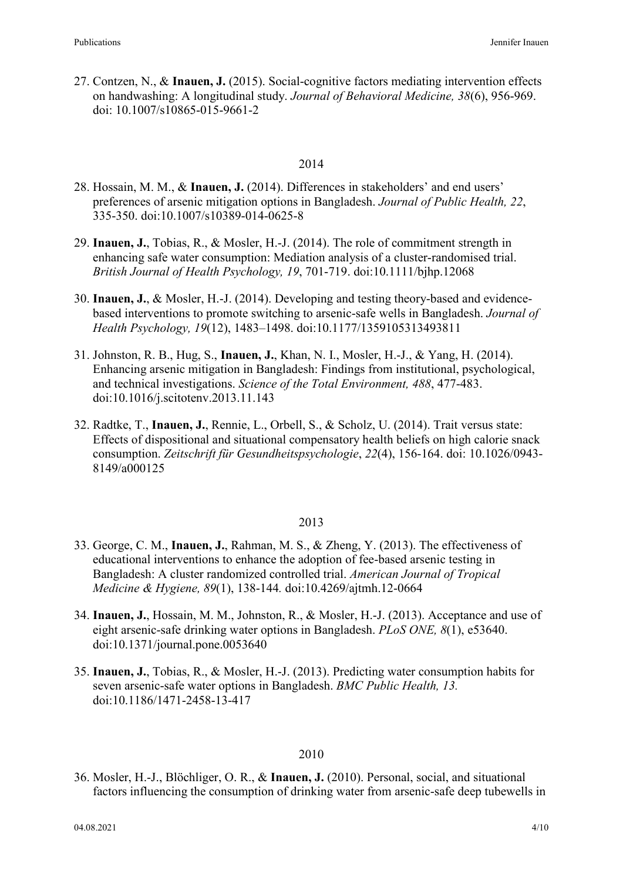27. Contzen, N., & **Inauen, J.** (2015). Social-cognitive factors mediating intervention effects on handwashing: A longitudinal study. *Journal of Behavioral Medicine, 38*(6), 956-969. doi: 10.1007/s10865-015-9661-2

## 2014

- 28. Hossain, M. M., & **Inauen, J.** (2014). Differences in stakeholders' and end users' preferences of arsenic mitigation options in Bangladesh. *Journal of Public Health, 22*, 335-350. doi:10.1007/s10389-014-0625-8
- 29. **Inauen, J.**, Tobias, R., & Mosler, H.-J. (2014). The role of commitment strength in enhancing safe water consumption: Mediation analysis of a cluster-randomised trial. *British Journal of Health Psychology, 19*, 701-719. doi:10.1111/bjhp.12068
- 30. **Inauen, J.**, & Mosler, H.-J. (2014). Developing and testing theory-based and evidencebased interventions to promote switching to arsenic-safe wells in Bangladesh. *Journal of Health Psychology, 19*(12), 1483–1498. doi:10.1177/1359105313493811
- 31. Johnston, R. B., Hug, S., **Inauen, J.**, Khan, N. I., Mosler, H.-J., & Yang, H. (2014). Enhancing arsenic mitigation in Bangladesh: Findings from institutional, psychological, and technical investigations. *Science of the Total Environment, 488*, 477-483. doi:10.1016/j.scitotenv.2013.11.143
- 32. Radtke, T., **Inauen, J.**, Rennie, L., Orbell, S., & Scholz, U. (2014). Trait versus state: Effects of dispositional and situational compensatory health beliefs on high calorie snack consumption. *Zeitschrift für Gesundheitspsychologie*, *22*(4), 156-164. doi: 10.1026/0943- 8149/a000125

#### 2013

- 33. George, C. M., **Inauen, J.**, Rahman, M. S., & Zheng, Y. (2013). The effectiveness of educational interventions to enhance the adoption of fee-based arsenic testing in Bangladesh: A cluster randomized controlled trial. *American Journal of Tropical Medicine & Hygiene, 89*(1), 138-144*.* doi:10.4269/ajtmh.12-0664
- 34. **Inauen, J.**, Hossain, M. M., Johnston, R., & Mosler, H.-J. (2013). Acceptance and use of eight arsenic-safe drinking water options in Bangladesh. *PLoS ONE, 8*(1), e53640. doi:10.1371/journal.pone.0053640
- 35. **Inauen, J.**, Tobias, R., & Mosler, H.-J. (2013). Predicting water consumption habits for seven arsenic-safe water options in Bangladesh. *BMC Public Health, 13.*  doi:10.1186/1471-2458-13-417

#### 2010

36. Mosler, H.-J., Blöchliger, O. R., & **Inauen, J.** (2010). Personal, social, and situational factors influencing the consumption of drinking water from arsenic-safe deep tubewells in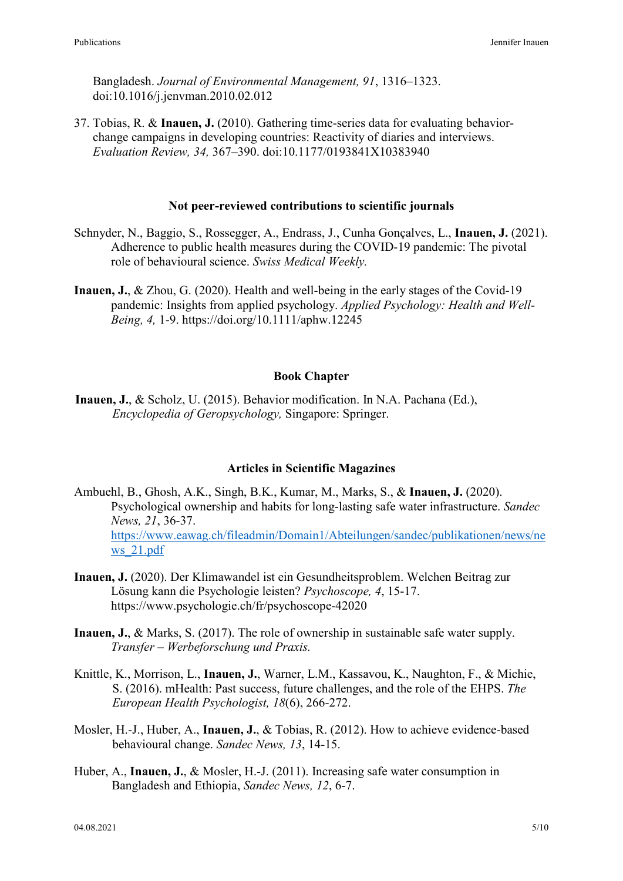Bangladesh. *Journal of Environmental Management, 91*, 1316–1323. doi:10.1016/j.jenvman.2010.02.012

37. Tobias, R. & **Inauen, J.** (2010). Gathering time-series data for evaluating behaviorchange campaigns in developing countries: Reactivity of diaries and interviews. *Evaluation Review, 34,* 367–390. doi:10.1177/0193841X10383940

### **Not peer-reviewed contributions to scientific journals**

- Schnyder, N., Baggio, S., Rossegger, A., Endrass, J., Cunha Gonçalves, L., **Inauen, J.** (2021). Adherence to public health measures during the COVID-19 pandemic: The pivotal role of behavioural science. *Swiss Medical Weekly.*
- **Inauen, J.**, & Zhou, G. (2020). Health and well-being in the early stages of the Covid-19 pandemic: Insights from applied psychology. *Applied Psychology: Health and Well-Being, 4,* 1-9. https://doi.org/10.1111/aphw.12245

### **Book Chapter**

**Inauen, J.**, & Scholz, U. (2015). Behavior modification. In N.A. Pachana (Ed.), *Encyclopedia of Geropsychology,* Singapore: Springer.

## **Articles in Scientific Magazines**

- Ambuehl, B., Ghosh, A.K., Singh, B.K., Kumar, M., Marks, S., & **Inauen, J.** (2020). Psychological ownership and habits for long-lasting safe water infrastructure. *Sandec News, 21*, 36-37. [https://www.eawag.ch/fileadmin/Domain1/Abteilungen/sandec/publikationen/news/ne](https://www.eawag.ch/fileadmin/Domain1/Abteilungen/sandec/publikationen/news/news_21.pdf) [ws\\_21.pdf](https://www.eawag.ch/fileadmin/Domain1/Abteilungen/sandec/publikationen/news/news_21.pdf)
- **Inauen, J.** (2020). Der Klimawandel ist ein Gesundheitsproblem. Welchen Beitrag zur Lösung kann die Psychologie leisten? *Psychoscope, 4*, 15-17. https://www.psychologie.ch/fr/psychoscope-42020
- **Inauen, J.**, & Marks, S. (2017). The role of ownership in sustainable safe water supply. *Transfer – Werbeforschung und Praxis.*
- Knittle, K., Morrison, L., **Inauen, J.**, Warner, L.M., Kassavou, K., Naughton, F., & Michie, S. (2016). mHealth: Past success, future challenges, and the role of the EHPS. *The European Health Psychologist, 18*(6), 266-272.
- Mosler, H.-J., Huber, A., **Inauen, J.**, & Tobias, R. (2012). How to achieve evidence-based behavioural change. *Sandec News, 13*, 14-15.
- Huber, A., **Inauen, J.**, & Mosler, H.-J. (2011). Increasing safe water consumption in Bangladesh and Ethiopia, *Sandec News, 12*, 6-7.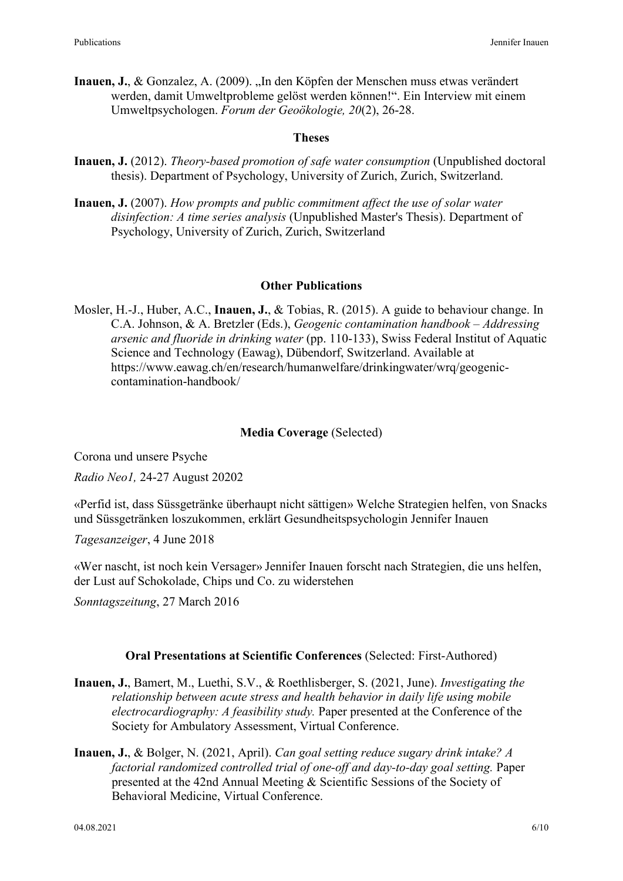Inauen, J., & Gonzalez, A. (2009). "In den Köpfen der Menschen muss etwas verändert werden, damit Umweltprobleme gelöst werden können!". Ein Interview mit einem Umweltpsychologen. *Forum der Geoökologie, 20*(2), 26-28.

## **Theses**

- **Inauen, J.** (2012). *Theory-based promotion of safe water consumption* (Unpublished doctoral thesis). Department of Psychology, University of Zurich, Zurich, Switzerland.
- **Inauen, J.** (2007). *How prompts and public commitment affect the use of solar water disinfection: A time series analysis* (Unpublished Master's Thesis). Department of Psychology, University of Zurich, Zurich, Switzerland

### **Other Publications**

Mosler, H.-J., Huber, A.C., **Inauen, J.**, & Tobias, R. (2015). A guide to behaviour change. In C.A. Johnson, & A. Bretzler (Eds.), *Geogenic contamination handbook – Addressing arsenic and fluoride in drinking water* (pp. 110-133), Swiss Federal Institut of Aquatic Science and Technology (Eawag), Dübendorf, Switzerland. Available at https://www.eawag.ch/en/research/humanwelfare/drinkingwater/wrq/geogeniccontamination-handbook/

### **Media Coverage** (Selected)

Corona und unsere Psyche

*Radio Neo1,* 24-27 August 20202

«Perfid ist, dass Süssgetränke überhaupt nicht sättigen» Welche Strategien helfen, von Snacks und Süssgetränken loszukommen, erklärt Gesundheitspsychologin Jennifer Inauen

*Tagesanzeiger*, 4 June 2018

«Wer nascht, ist noch kein Versager» Jennifer Inauen forscht nach Strategien, die uns helfen, der Lust auf Schokolade, Chips und Co. zu widerstehen

*Sonntagszeitung*, 27 March 2016

## **Oral Presentations at Scientific Conferences** (Selected: First-Authored)

- **Inauen, J.**, Bamert, M., Luethi, S.V., & Roethlisberger, S. (2021, June). *Investigating the relationship between acute stress and health behavior in daily life using mobile electrocardiography: A feasibility study.* Paper presented at the Conference of the Society for Ambulatory Assessment, Virtual Conference.
- **Inauen, J.**, & Bolger, N. (2021, April). *Can goal setting reduce sugary drink intake? A factorial randomized controlled trial of one-off and day-to-day goal setting.* Paper presented at the 42nd Annual Meeting & Scientific Sessions of the Society of Behavioral Medicine, Virtual Conference.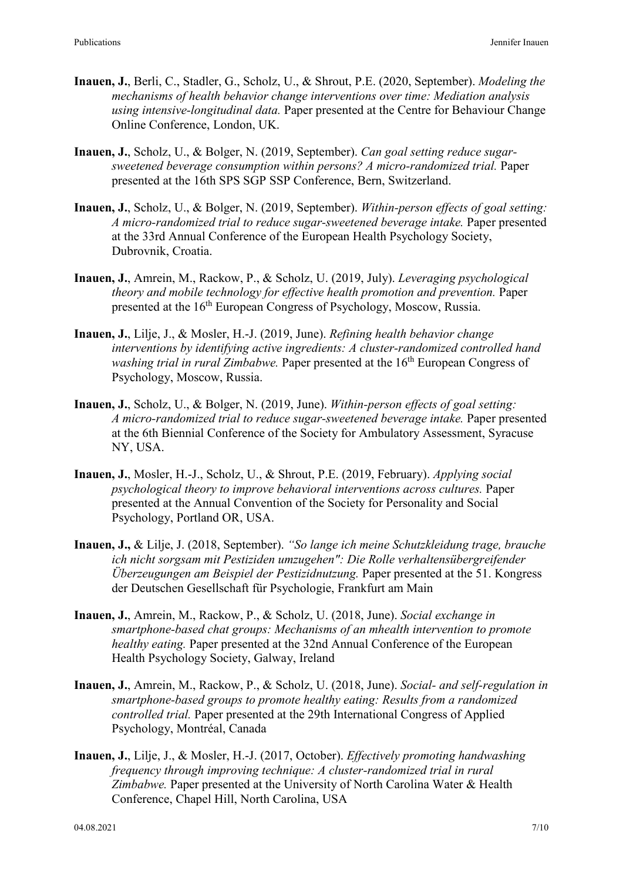- **Inauen, J.**, Berli, C., Stadler, G., Scholz, U., & Shrout, P.E. (2020, September). *Modeling the mechanisms of health behavior change interventions over time: Mediation analysis using intensive-longitudinal data.* Paper presented at the Centre for Behaviour Change Online Conference, London, UK.
- **Inauen, J.**, Scholz, U., & Bolger, N. (2019, September). *Can goal setting reduce sugarsweetened beverage consumption within persons? A micro-randomized trial.* Paper presented at the 16th SPS SGP SSP Conference, Bern, Switzerland.
- **Inauen, J.**, Scholz, U., & Bolger, N. (2019, September). *Within-person effects of goal setting: A micro-randomized trial to reduce sugar-sweetened beverage intake.* Paper presented at the 33rd Annual Conference of the European Health Psychology Society, Dubrovnik, Croatia.
- **Inauen, J.**, Amrein, M., Rackow, P., & Scholz, U. (2019, July). *Leveraging psychological theory and mobile technology for effective health promotion and prevention.* Paper presented at the 16<sup>th</sup> European Congress of Psychology, Moscow, Russia.
- **Inauen, J.**, Lilje, J., & Mosler, H.-J. (2019, June). *Refining health behavior change interventions by identifying active ingredients: A cluster-randomized controlled hand washing trial in rural Zimbabwe.* Paper presented at the 16<sup>th</sup> European Congress of Psychology, Moscow, Russia.
- **Inauen, J.**, Scholz, U., & Bolger, N. (2019, June). *Within-person effects of goal setting: A micro-randomized trial to reduce sugar-sweetened beverage intake.* Paper presented at the 6th Biennial Conference of the Society for Ambulatory Assessment, Syracuse NY, USA.
- **Inauen, J.**, Mosler, H.-J., Scholz, U., & Shrout, P.E. (2019, February). *Applying social psychological theory to improve behavioral interventions across cultures.* Paper presented at the Annual Convention of the Society for Personality and Social Psychology, Portland OR, USA.
- **Inauen, J.,** & Lilje, J. (2018, September). *"So lange ich meine Schutzkleidung trage, brauche ich nicht sorgsam mit Pestiziden umzugehen": Die Rolle verhaltensübergreifender Überzeugungen am Beispiel der Pestizidnutzung.* Paper presented at the 51. Kongress der Deutschen Gesellschaft für Psychologie, Frankfurt am Main
- **Inauen, J.**, Amrein, M., Rackow, P., & Scholz, U. (2018, June). *Social exchange in smartphone-based chat groups: Mechanisms of an mhealth intervention to promote healthy eating.* Paper presented at the 32nd Annual Conference of the European Health Psychology Society, Galway, Ireland
- **Inauen, J.**, Amrein, M., Rackow, P., & Scholz, U. (2018, June). *Social- and self-regulation in smartphone-based groups to promote healthy eating: Results from a randomized controlled trial.* Paper presented at the 29th International Congress of Applied Psychology, Montréal, Canada
- **Inauen, J.**, Lilje, J., & Mosler, H.-J. (2017, October). *Effectively promoting handwashing frequency through improving technique: A cluster-randomized trial in rural Zimbabwe.* Paper presented at the University of North Carolina Water & Health Conference, Chapel Hill, North Carolina, USA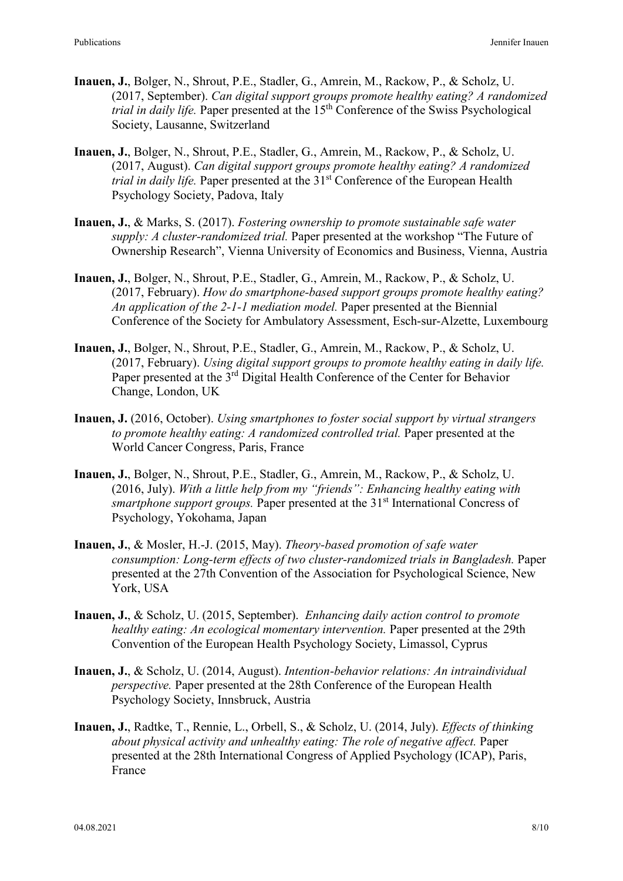- **Inauen, J.**, Bolger, N., Shrout, P.E., Stadler, G., Amrein, M., Rackow, P., & Scholz, U. (2017, September). *Can digital support groups promote healthy eating? A randomized trial in daily life.* Paper presented at the 15<sup>th</sup> Conference of the Swiss Psychological Society, Lausanne, Switzerland
- **Inauen, J.**, Bolger, N., Shrout, P.E., Stadler, G., Amrein, M., Rackow, P., & Scholz, U. (2017, August). *Can digital support groups promote healthy eating? A randomized trial in daily life.* Paper presented at the 31<sup>st</sup> Conference of the European Health Psychology Society, Padova, Italy
- **Inauen, J.**, & Marks, S. (2017). *Fostering ownership to promote sustainable safe water supply: A cluster-randomized trial.* Paper presented at the workshop "The Future of Ownership Research", Vienna University of Economics and Business, Vienna, Austria
- **Inauen, J.**, Bolger, N., Shrout, P.E., Stadler, G., Amrein, M., Rackow, P., & Scholz, U. (2017, February). *How do smartphone-based support groups promote healthy eating? An application of the 2-1-1 mediation model.* Paper presented at the Biennial Conference of the Society for Ambulatory Assessment, Esch-sur-Alzette, Luxembourg
- **Inauen, J.**, Bolger, N., Shrout, P.E., Stadler, G., Amrein, M., Rackow, P., & Scholz, U. (2017, February). *Using digital support groups to promote healthy eating in daily life.* Paper presented at the 3<sup>rd</sup> Digital Health Conference of the Center for Behavior Change, London, UK
- **Inauen, J.** (2016, October). *Using smartphones to foster social support by virtual strangers to promote healthy eating: A randomized controlled trial.* Paper presented at the World Cancer Congress, Paris, France
- **Inauen, J.**, Bolger, N., Shrout, P.E., Stadler, G., Amrein, M., Rackow, P., & Scholz, U. (2016, July). *With a little help from my "friends": Enhancing healthy eating with smartphone support groups.* Paper presented at the 31<sup>st</sup> International Concress of Psychology, Yokohama, Japan
- **Inauen, J.**, & Mosler, H.-J. (2015, May). *Theory-based promotion of safe water consumption: Long-term effects of two cluster-randomized trials in Bangladesh.* Paper presented at the 27th Convention of the Association for Psychological Science, New York, USA
- **Inauen, J.**, & Scholz, U. (2015, September). *Enhancing daily action control to promote healthy eating: An ecological momentary intervention.* Paper presented at the 29th Convention of the European Health Psychology Society, Limassol, Cyprus
- **Inauen, J.**, & Scholz, U. (2014, August). *Intention-behavior relations: An intraindividual perspective.* Paper presented at the 28th Conference of the European Health Psychology Society, Innsbruck, Austria
- **Inauen, J.**, Radtke, T., Rennie, L., Orbell, S., & Scholz, U. (2014, July). *Effects of thinking about physical activity and unhealthy eating: The role of negative affect.* Paper presented at the 28th International Congress of Applied Psychology (ICAP), Paris, France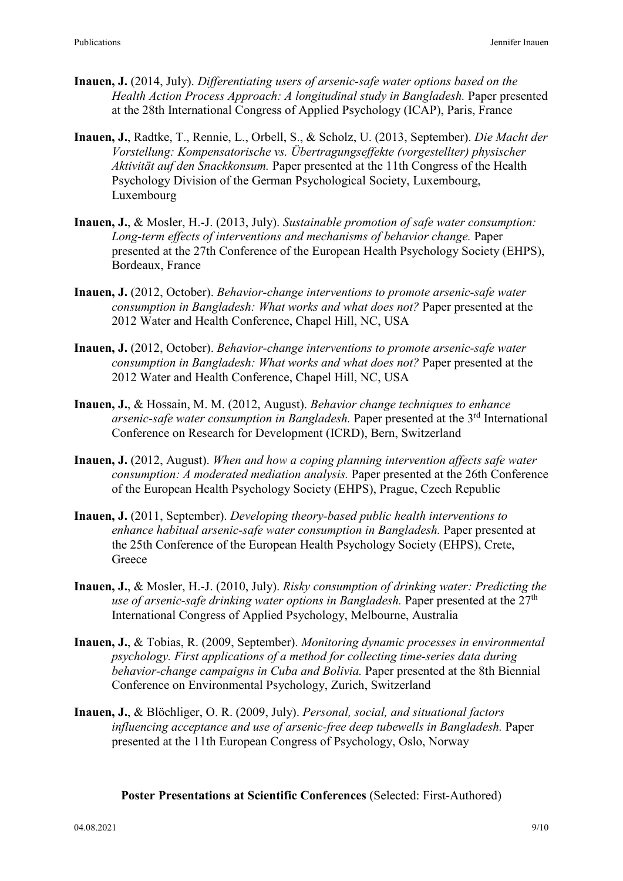- **Inauen, J.** (2014, July). *Differentiating users of arsenic-safe water options based on the Health Action Process Approach: A longitudinal study in Bangladesh.* Paper presented at the 28th International Congress of Applied Psychology (ICAP), Paris, France
- **Inauen, J.**, Radtke, T., Rennie, L., Orbell, S., & Scholz, U. (2013, September). *Die Macht der Vorstellung: Kompensatorische vs. Übertragungseffekte (vorgestellter) physischer Aktivität auf den Snackkonsum.* Paper presented at the 11th Congress of the Health Psychology Division of the German Psychological Society, Luxembourg, Luxembourg
- **Inauen, J.**, & Mosler, H.-J. (2013, July). *Sustainable promotion of safe water consumption: Long-term effects of interventions and mechanisms of behavior change.* Paper presented at the 27th Conference of the European Health Psychology Society (EHPS), Bordeaux, France
- **Inauen, J.** (2012, October). *Behavior-change interventions to promote arsenic-safe water consumption in Bangladesh: What works and what does not?* Paper presented at the 2012 Water and Health Conference, Chapel Hill, NC, USA
- **Inauen, J.** (2012, October). *Behavior-change interventions to promote arsenic-safe water consumption in Bangladesh: What works and what does not?* Paper presented at the 2012 Water and Health Conference, Chapel Hill, NC, USA
- **Inauen, J.**, & Hossain, M. M. (2012, August). *Behavior change techniques to enhance arsenic-safe water consumption in Bangladesh.* Paper presented at the 3rd International Conference on Research for Development (ICRD), Bern, Switzerland
- **Inauen, J.** (2012, August). *When and how a coping planning intervention affects safe water consumption: A moderated mediation analysis.* Paper presented at the 26th Conference of the European Health Psychology Society (EHPS), Prague, Czech Republic
- **Inauen, J.** (2011, September). *Developing theory-based public health interventions to enhance habitual arsenic-safe water consumption in Bangladesh.* Paper presented at the 25th Conference of the European Health Psychology Society (EHPS), Crete, **Greece**
- **Inauen, J.**, & Mosler, H.-J. (2010, July). *Risky consumption of drinking water: Predicting the use of arsenic-safe drinking water options in Bangladesh.* Paper presented at the 27th International Congress of Applied Psychology, Melbourne, Australia
- **Inauen, J.**, & Tobias, R. (2009, September). *Monitoring dynamic processes in environmental psychology. First applications of a method for collecting time-series data during behavior-change campaigns in Cuba and Bolivia.* Paper presented at the 8th Biennial Conference on Environmental Psychology, Zurich, Switzerland
- **Inauen, J.**, & Blöchliger, O. R. (2009, July). *Personal, social, and situational factors influencing acceptance and use of arsenic-free deep tubewells in Bangladesh.* Paper presented at the 11th European Congress of Psychology, Oslo, Norway

### **Poster Presentations at Scientific Conferences** (Selected: First-Authored)